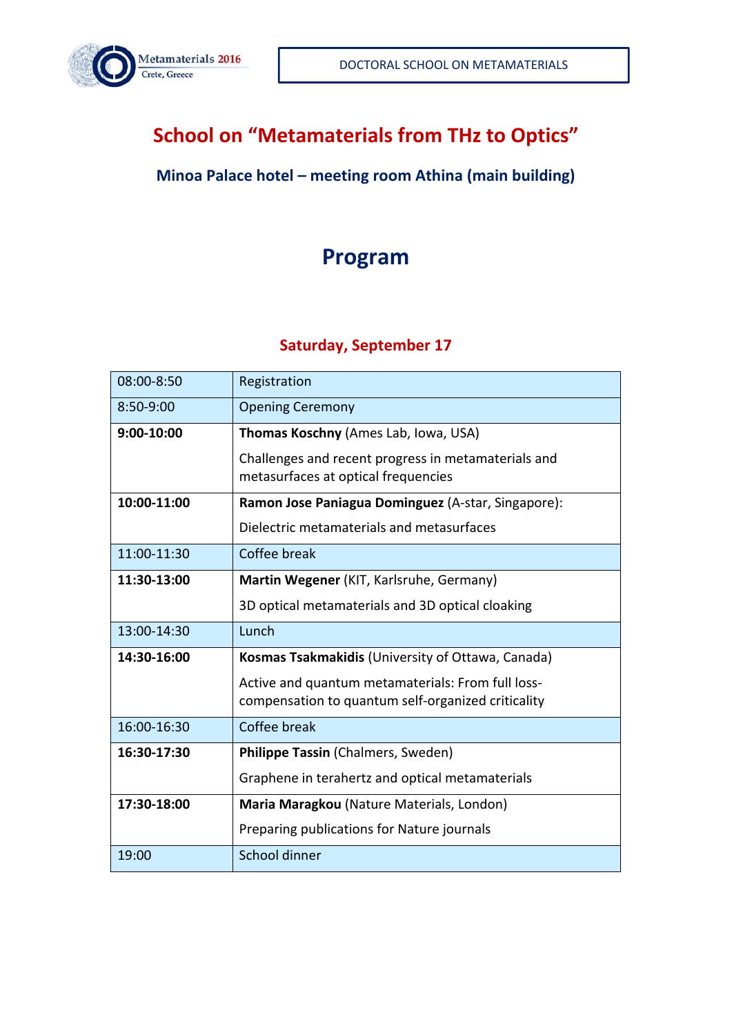

# **School on "Metamaterials from THz to Optics"**

#### **Minoa Palace hotel – meeting room Athina (main building)**

## **Program**

#### **Saturday, September 17**

| 08:00-8:50  | Registration                                                                                            |
|-------------|---------------------------------------------------------------------------------------------------------|
| 8:50-9:00   | <b>Opening Ceremony</b>                                                                                 |
| 9:00-10:00  | Thomas Koschny (Ames Lab, Iowa, USA)                                                                    |
|             | Challenges and recent progress in metamaterials and<br>metasurfaces at optical frequencies              |
| 10:00-11:00 | Ramon Jose Paniagua Dominguez (A-star, Singapore):                                                      |
|             | Dielectric metamaterials and metasurfaces                                                               |
| 11:00-11:30 | Coffee break                                                                                            |
| 11:30-13:00 | Martin Wegener (KIT, Karlsruhe, Germany)                                                                |
|             | 3D optical metamaterials and 3D optical cloaking                                                        |
|             |                                                                                                         |
| 13:00-14:30 | Lunch                                                                                                   |
| 14:30-16:00 | Kosmas Tsakmakidis (University of Ottawa, Canada)                                                       |
|             | Active and quantum metamaterials: From full loss-<br>compensation to quantum self-organized criticality |
| 16:00-16:30 | Coffee break                                                                                            |
| 16:30-17:30 | Philippe Tassin (Chalmers, Sweden)                                                                      |
|             | Graphene in terahertz and optical metamaterials                                                         |
| 17:30-18:00 | Maria Maragkou (Nature Materials, London)                                                               |
|             | Preparing publications for Nature journals                                                              |